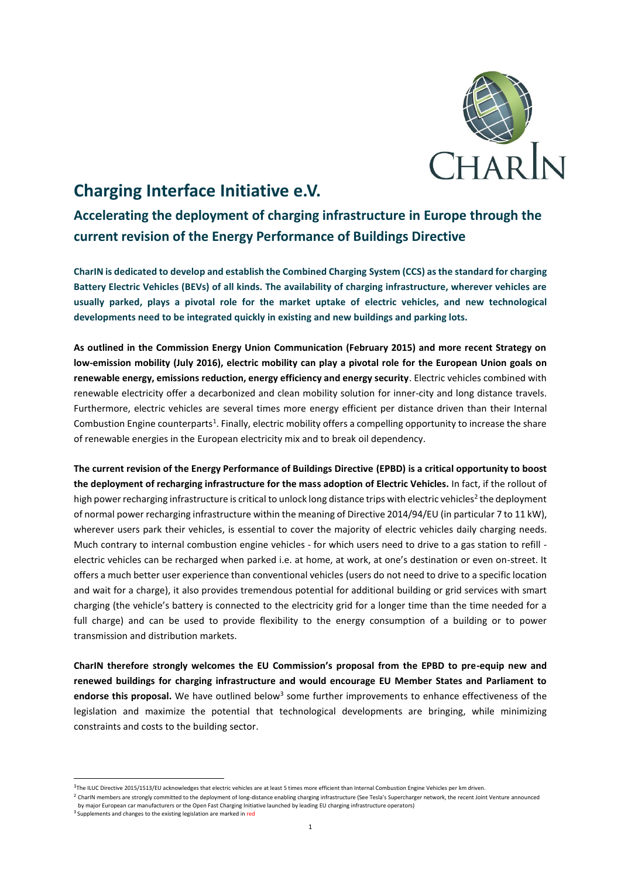

## **Charging Interface Initiative e.V.**

**Accelerating the deployment of charging infrastructure in Europe through the current revision of the Energy Performance of Buildings Directive**

**CharIN is dedicated to develop and establish the Combined Charging System (CCS) as the standard for charging Battery Electric Vehicles (BEVs) of all kinds. The availability of charging infrastructure, wherever vehicles are usually parked, plays a pivotal role for the market uptake of electric vehicles, and new technological developments need to be integrated quickly in existing and new buildings and parking lots.** 

**As outlined in the Commission Energy Union Communication (February 2015) and more recent Strategy on low-emission mobility (July 2016), electric mobility can play a pivotal role for the European Union goals on renewable energy, emissions reduction, energy efficiency and energy security**. Electric vehicles combined with renewable electricity offer a decarbonized and clean mobility solution for inner-city and long distance travels. Furthermore, electric vehicles are several times more energy efficient per distance driven than their Internal Combustion Engine counterparts<sup>1</sup>. Finally, electric mobility offers a compelling opportunity to increase the share of renewable energies in the European electricity mix and to break oil dependency.

**The current revision of the Energy Performance of Buildings Directive (EPBD) is a critical opportunity to boost the deployment of recharging infrastructure for the mass adoption of Electric Vehicles.** In fact, if the rollout of high power recharging infrastructure is critical to unlock long distance trips with electric vehicles<sup>2</sup> the deployment of normal power recharging infrastructure within the meaning of Directive 2014/94/EU (in particular 7 to 11 kW), wherever users park their vehicles, is essential to cover the majority of electric vehicles daily charging needs. Much contrary to internal combustion engine vehicles - for which users need to drive to a gas station to refill electric vehicles can be recharged when parked i.e. at home, at work, at one's destination or even on-street. It offers a much better user experience than conventional vehicles (users do not need to drive to a specific location and wait for a charge), it also provides tremendous potential for additional building or grid services with smart charging (the vehicle's battery is connected to the electricity grid for a longer time than the time needed for a full charge) and can be used to provide flexibility to the energy consumption of a building or to power transmission and distribution markets.

**CharIN therefore strongly welcomes the EU Commission's proposal from the EPBD to pre-equip new and renewed buildings for charging infrastructure and would encourage EU Member States and Parliament to**  endorse this proposal. We have outlined below<sup>3</sup> some further improvements to enhance effectiveness of the legislation and maximize the potential that technological developments are bringing, while minimizing constraints and costs to the building sector.

.

<sup>&</sup>lt;sup>1</sup>The ILUC Directive 2015/1513/EU acknowledges that electric vehicles are at least 5 times more efficient than Internal Combustion Engine Vehicles per km driven.

<sup>&</sup>lt;sup>2</sup> CharIN members are strongly committed to the deployment of long-distance enabling charging infrastructure (See Tesla's Supercharger network, the recent Joint Venture announced by major European car manufacturers or the Open Fast Charging Initiative launched by leading EU charging infrastructure operators)

 $^3$  Supplements and changes to the existing legislation are marked in  $\mathsf{red}$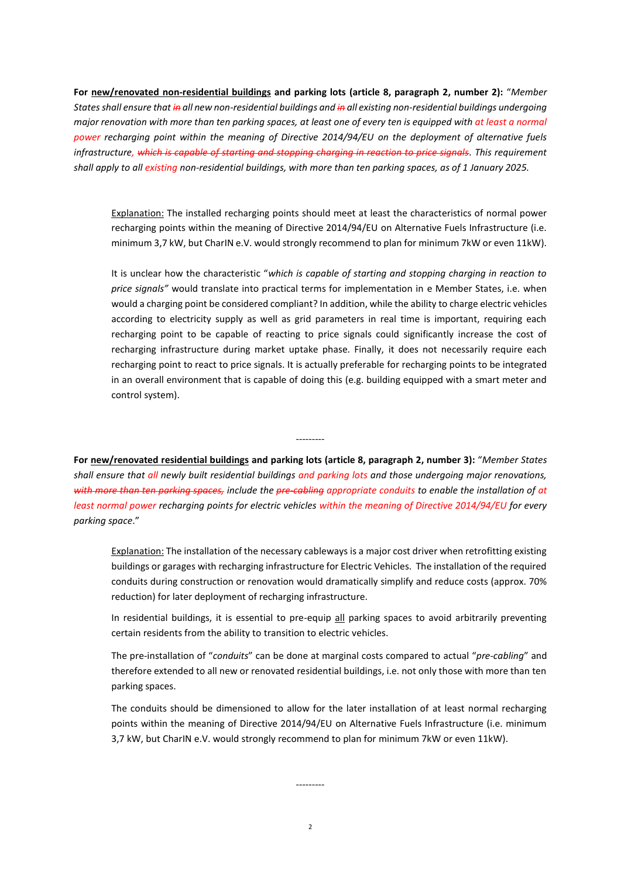**For new/renovated non-residential buildings and parking lots (article 8, paragraph 2, number 2):** "*Member States shall ensure that in all new non-residential buildings and in all existing non-residential buildings undergoing major renovation with more than ten parking spaces, at least one of every ten is equipped with at least a normal power recharging point within the meaning of Directive 2014/94/EU on the deployment of alternative fuels infrastructure, which is capable of starting and stopping charging in reaction to price signals.* This requirement *shall apply to all existing non-residential buildings, with more than ten parking spaces, as of 1 January 2025.*

Explanation: The installed recharging points should meet at least the characteristics of normal power recharging points within the meaning of Directive 2014/94/EU on Alternative Fuels Infrastructure (i.e. minimum 3,7 kW, but CharIN e.V. would strongly recommend to plan for minimum 7kW or even 11kW).

It is unclear how the characteristic "*which is capable of starting and stopping charging in reaction to price signals"* would translate into practical terms for implementation in e Member States, i.e. when would a charging point be considered compliant? In addition, while the ability to charge electric vehicles according to electricity supply as well as grid parameters in real time is important, requiring each recharging point to be capable of reacting to price signals could significantly increase the cost of recharging infrastructure during market uptake phase. Finally, it does not necessarily require each recharging point to react to price signals. It is actually preferable for recharging points to be integrated in an overall environment that is capable of doing this (e.g. building equipped with a smart meter and control system).

**For new/renovated residential buildings and parking lots (article 8, paragraph 2, number 3):** "*Member States shall ensure that all newly built residential buildings and parking lots and those undergoing major renovations, with more than ten parking spaces, include the pre-cabling appropriate conduits to enable the installation of at least normal power recharging points for electric vehicles within the meaning of Directive 2014/94/EU for every parking space*."

---------

Explanation: The installation of the necessary cableways is a major cost driver when retrofitting existing buildings or garages with recharging infrastructure for Electric Vehicles. The installation of the required conduits during construction or renovation would dramatically simplify and reduce costs (approx. 70% reduction) for later deployment of recharging infrastructure.

In residential buildings, it is essential to pre-equip all parking spaces to avoid arbitrarily preventing certain residents from the ability to transition to electric vehicles.

The pre-installation of "*conduits*" can be done at marginal costs compared to actual "*pre-cabling*" and therefore extended to all new or renovated residential buildings, i.e. not only those with more than ten parking spaces.

The conduits should be dimensioned to allow for the later installation of at least normal recharging points within the meaning of Directive 2014/94/EU on Alternative Fuels Infrastructure (i.e. minimum 3,7 kW, but CharIN e.V. would strongly recommend to plan for minimum 7kW or even 11kW).

---------